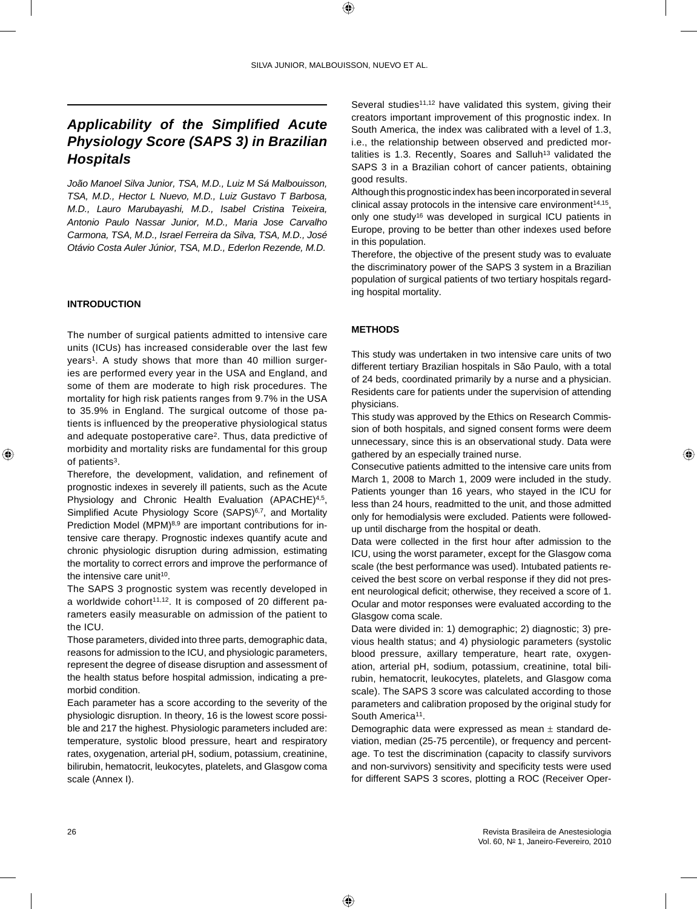# *Applicability of the Simplified Acute Physiology Score (SAPS 3) in Brazilian Hospitals*

*João Manoel Silva Junior, TSA, M.D., Luiz M Sá Malbouisson, TSA, M.D., Hector L Nuevo, M.D., Luiz Gustavo T Barbosa, M.D., Lauro Marubayashi, M.D., Isabel Cristina Teixeira, Antonio Paulo Nassar Junior, M.D., Maria Jose Carvalho Carmona, TSA, M.D., Israel Ferreira da Silva, TSA, M.D., José Otávio Costa Auler Júnior, TSA, M.D., Ederlon Rezende, M.D.*

# **INTRODUCTION**

The number of surgical patients admitted to intensive care units (ICUs) has increased considerable over the last few years<sup>1</sup>. A study shows that more than 40 million surgeries are performed every year in the USA and England, and some of them are moderate to high risk procedures. The mortality for high risk patients ranges from 9.7% in the USA to 35.9% in England. The surgical outcome of those patients is influenced by the preoperative physiological status and adequate postoperative care2. Thus, data predictive of morbidity and mortality risks are fundamental for this group of patients<sup>3</sup>.

Therefore, the development, validation, and refinement of prognostic indexes in severely ill patients, such as the Acute Physiology and Chronic Health Evaluation (APACHE)<sup>4,5</sup>, Simplified Acute Physiology Score (SAPS)<sup>6,7</sup>, and Mortality Prediction Model (MPM)<sup>8,9</sup> are important contributions for intensive care therapy. Prognostic indexes quantify acute and chronic physiologic disruption during admission, estimating the mortality to correct errors and improve the performance of the intensive care unit<sup>10</sup>.

The SAPS 3 prognostic system was recently developed in a worldwide cohort $11,12$ . It is composed of 20 different parameters easily measurable on admission of the patient to the ICU.

Those parameters, divided into three parts, demographic data, reasons for admission to the ICU, and physiologic parameters, represent the degree of disease disruption and assessment of the health status before hospital admission, indicating a premorbid condition.

Each parameter has a score according to the severity of the physiologic disruption. In theory, 16 is the lowest score possible and 217 the highest. Physiologic parameters included are: temperature, systolic blood pressure, heart and respiratory rates, oxygenation, arterial pH, sodium, potassium, creatinine, bilirubin, hematocrit, leukocytes, platelets, and Glasgow coma scale (Annex I).

Several studies<sup>11,12</sup> have validated this system, giving their creators important improvement of this prognostic index. In South America, the index was calibrated with a level of 1.3, i.e., the relationship between observed and predicted mortalities is 1.3. Recently, Soares and Salluh<sup>13</sup> validated the SAPS 3 in a Brazilian cohort of cancer patients, obtaining good results.

Although this prognostic index has been incorporated in several clinical assay protocols in the intensive care environment $14,15$ , only one study16 was developed in surgical ICU patients in Europe, proving to be better than other indexes used before in this population.

Therefore, the objective of the present study was to evaluate the discriminatory power of the SAPS 3 system in a Brazilian population of surgical patients of two tertiary hospitals regarding hospital mortality.

# **METHODS**

This study was undertaken in two intensive care units of two different tertiary Brazilian hospitals in São Paulo, with a total of 24 beds, coordinated primarily by a nurse and a physician. Residents care for patients under the supervision of attending physicians.

This study was approved by the Ethics on Research Commission of both hospitals, and signed consent forms were deem unnecessary, since this is an observational study. Data were gathered by an especially trained nurse.

Consecutive patients admitted to the intensive care units from March 1, 2008 to March 1, 2009 were included in the study. Patients younger than 16 years, who stayed in the ICU for less than 24 hours, readmitted to the unit, and those admitted only for hemodialysis were excluded. Patients were followedup until discharge from the hospital or death.

Data were collected in the first hour after admission to the ICU, using the worst parameter, except for the Glasgow coma scale (the best performance was used). Intubated patients received the best score on verbal response if they did not present neurological deficit; otherwise, they received a score of 1. Ocular and motor responses were evaluated according to the Glasgow coma scale.

Data were divided in: 1) demographic; 2) diagnostic; 3) previous health status; and 4) physiologic parameters (systolic blood pressure, axillary temperature, heart rate, oxygenation, arterial pH, sodium, potassium, creatinine, total bilirubin, hematocrit, leukocytes, platelets, and Glasgow coma scale). The SAPS 3 score was calculated according to those parameters and calibration proposed by the original study for South America<sup>11</sup>.

Demographic data were expressed as mean ± standard deviation, median (25-75 percentile), or frequency and percentage. To test the discrimination (capacity to classify survivors and non-survivors) sensitivity and specificity tests were used for different SAPS 3 scores, plotting a ROC (Receiver Oper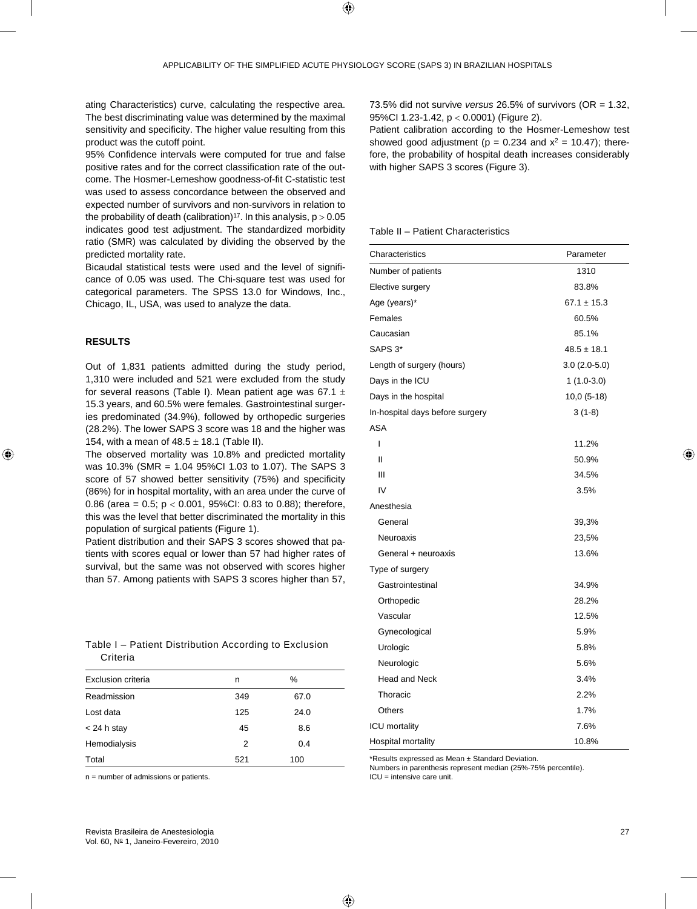ating Characteristics) curve, calculating the respective area. The best discriminating value was determined by the maximal sensitivity and specificity. The higher value resulting from this product was the cutoff point.

95% Confidence intervals were computed for true and false positive rates and for the correct classification rate of the outcome. The Hosmer-Lemeshow goodness-of-fit C-statistic test was used to assess concordance between the observed and expected number of survivors and non-survivors in relation to the probability of death (calibration)<sup>17</sup>. In this analysis,  $p > 0.05$ indicates good test adjustment. The standardized morbidity ratio (SMR) was calculated by dividing the observed by the predicted mortality rate.

Bicaudal statistical tests were used and the level of significance of 0.05 was used. The Chi-square test was used for categorical parameters. The SPSS 13.0 for Windows, Inc., Chicago, IL, USA, was used to analyze the data.

## **RESULTS**

Out of 1,831 patients admitted during the study period, 1,310 were included and 521 were excluded from the study for several reasons (Table I). Mean patient age was 67.1  $\pm$ 15.3 years, and 60.5% were females. Gastrointestinal surgeries predominated (34.9%), followed by orthopedic surgeries (28.2%). The lower SAPS 3 score was 18 and the higher was 154, with a mean of  $48.5 \pm 18.1$  (Table II).

The observed mortality was 10.8% and predicted mortality was 10.3% (SMR = 1.04 95%CI 1.03 to 1.07). The SAPS 3 score of 57 showed better sensitivity (75%) and specificity (86%) for in hospital mortality, with an area under the curve of 0.86 (area =  $0.5$ ;  $p < 0.001$ , 95%CI: 0.83 to 0.88); therefore, this was the level that better discriminated the mortality in this population of surgical patients (Figure 1).

Patient distribution and their SAPS 3 scores showed that patients with scores equal or lower than 57 had higher rates of survival, but the same was not observed with scores higher than 57. Among patients with SAPS 3 scores higher than 57,

|          | Table I - Patient Distribution According to Exclusion |  |  |
|----------|-------------------------------------------------------|--|--|
| Criteria |                                                       |  |  |

| Exclusion criteria | n   | ℅    |  |
|--------------------|-----|------|--|
| Readmission        | 349 | 67.0 |  |
| Lost data          | 125 | 24.0 |  |
| $<$ 24 h stay      | 45  | 8.6  |  |
| Hemodialysis       | 2   | 0.4  |  |
| Total              | 521 | 100  |  |

n = number of admissions or patients.

73.5% did not survive *versus* 26.5% of survivors (OR = 1.32, 95%CI 1.23-1.42, p < 0.0001) (Figure 2).

Patient calibration according to the Hosmer-Lemeshow test showed good adjustment ( $p = 0.234$  and  $x^2 = 10.47$ ); therefore, the probability of hospital death increases considerably with higher SAPS 3 scores (Figure 3).

#### Table II – Patient Characteristics

| Characteristics                 | Parameter       |  |
|---------------------------------|-----------------|--|
| Number of patients              | 1310            |  |
| Elective surgery                | 83.8%           |  |
| Age (years)*                    | $67.1 \pm 15.3$ |  |
| Females                         | 60.5%           |  |
| Caucasian                       | 85.1%           |  |
| SAPS 3*                         | $48.5 \pm 18.1$ |  |
| Length of surgery (hours)       | $3.0(2.0-5.0)$  |  |
| Days in the ICU                 | $1(1.0-3.0)$    |  |
| Days in the hospital            | $10,0(5-18)$    |  |
| In-hospital days before surgery | $3(1-8)$        |  |
| <b>ASA</b>                      |                 |  |
| I                               | 11.2%           |  |
| Ш                               | 50.9%           |  |
| Ш                               | 34.5%           |  |
| IV                              | 3.5%            |  |
| Anesthesia                      |                 |  |
| General                         | 39,3%           |  |
| Neuroaxis                       | 23,5%           |  |
| General + neuroaxis             | 13.6%           |  |
| Type of surgery                 |                 |  |
| Gastrointestinal                | 34.9%           |  |
| Orthopedic                      | 28.2%           |  |
| Vascular                        | 12.5%           |  |
| Gynecological                   | 5.9%            |  |
| Urologic                        | 5.8%            |  |
| Neurologic                      | 5.6%            |  |
| <b>Head and Neck</b>            | 3.4%            |  |
| Thoracic                        | 2.2%            |  |
| Others                          | 1.7%            |  |
| ICU mortality                   | 7.6%            |  |
| Hospital mortality              | 10.8%           |  |

\*Results expressed as Mean ± Standard Deviation.

Numbers in parenthesis represent median (25%-75% percentile). ICU = intensive care unit.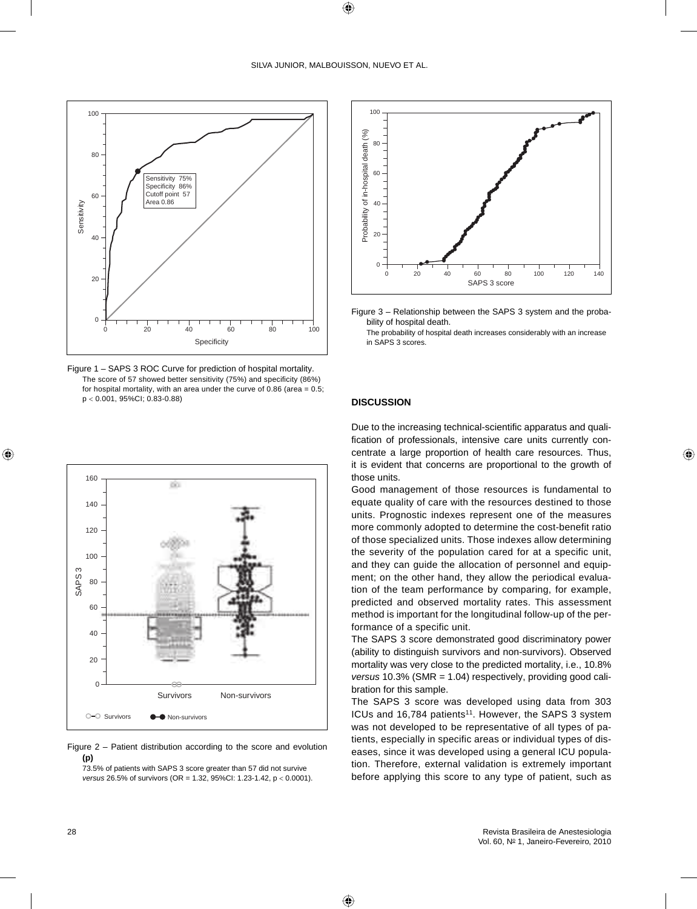

Figure 1 – SAPS 3 ROC Curve for prediction of hospital mortality. The score of 57 showed better sensitivity (75%) and specificity (86%) for hospital mortality, with an area under the curve of 0.86 (area  $= 0.5$ ; p < 0.001, 95%CI; 0.83-0.88)



Figure 2 – Patient distribution according to the score and evolution **(p)**

73.5% of patients with SAPS 3 score greater than 57 did not survive *versus* 26.5% of survivors (OR = 1.32, 95%CI: 1.23-1.42, p < 0.0001).



Figure 3 – Relationship between the SAPS 3 system and the probability of hospital death.

The probability of hospital death increases considerably with an increase in SAPS 3 scores.

## **DISCUSSION**

Due to the increasing technical-scientific apparatus and qualification of professionals, intensive care units currently concentrate a large proportion of health care resources. Thus, it is evident that concerns are proportional to the growth of those units.

Good management of those resources is fundamental to equate quality of care with the resources destined to those units. Prognostic indexes represent one of the measures more commonly adopted to determine the cost-benefit ratio of those specialized units. Those indexes allow determining the severity of the population cared for at a specific unit, and they can quide the allocation of personnel and equipment; on the other hand, they allow the periodical evaluation of the team performance by comparing, for example, predicted and observed mortality rates. This assessment method is important for the longitudinal follow-up of the performance of a specific unit.

The SAPS 3 score demonstrated good discriminatory power (ability to distinguish survivors and non-survivors). Observed mortality was very close to the predicted mortality, i.e., 10.8% *versus* 10.3% (SMR = 1.04) respectively, providing good calibration for this sample.

The SAPS 3 score was developed using data from 303 ICUs and 16,784 patients<sup>11</sup>. However, the SAPS 3 system was not developed to be representative of all types of patients, especially in specific areas or individual types of diseases, since it was developed using a general ICU population. Therefore, external validation is extremely important before applying this score to any type of patient, such as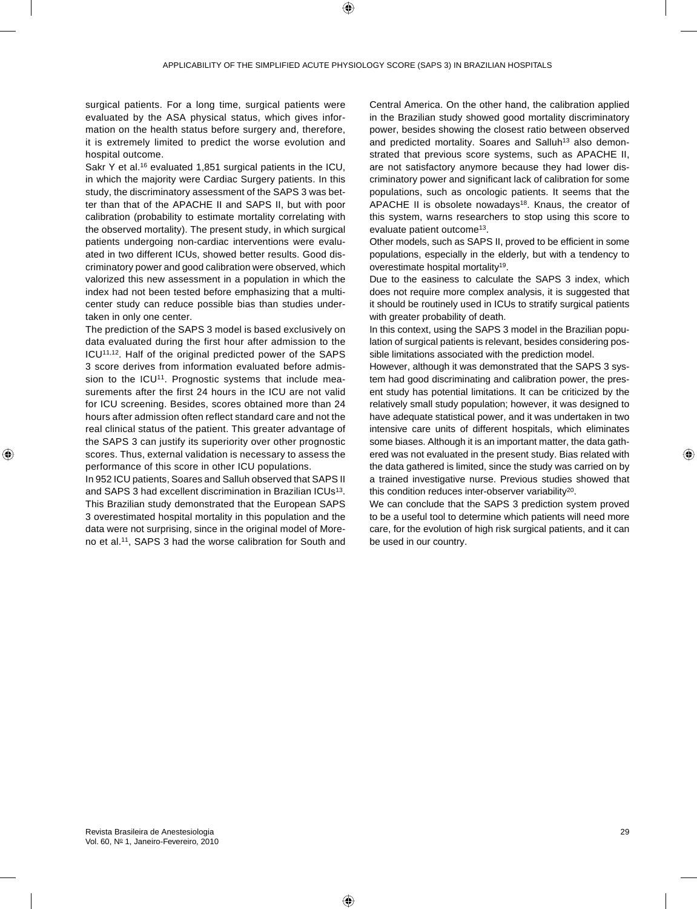surgical patients. For a long time, surgical patients were evaluated by the ASA physical status, which gives information on the health status before surgery and, therefore, it is extremely limited to predict the worse evolution and hospital outcome.

Sakr Y et al.16 evaluated 1,851 surgical patients in the ICU, in which the majority were Cardiac Surgery patients. In this study, the discriminatory assessment of the SAPS 3 was better than that of the APACHE II and SAPS II, but with poor calibration (probability to estimate mortality correlating with the observed mortality). The present study, in which surgical patients undergoing non-cardiac interventions were evaluated in two different ICUs, showed better results. Good discriminatory power and good calibration were observed, which valorized this new assessment in a population in which the index had not been tested before emphasizing that a multicenter study can reduce possible bias than studies undertaken in only one center.

The prediction of the SAPS 3 model is based exclusively on data evaluated during the first hour after admission to the ICU<sup>11,12</sup>. Half of the original predicted power of the SAPS 3 score derives from information evaluated before admission to the ICU<sup>11</sup>. Prognostic systems that include measurements after the first 24 hours in the ICU are not valid for ICU screening. Besides, scores obtained more than 24 hours after admission often reflect standard care and not the real clinical status of the patient. This greater advantage of the SAPS 3 can justify its superiority over other prognostic scores. Thus, external validation is necessary to assess the performance of this score in other ICU populations.

In 952 ICU patients, Soares and Salluh observed that SAPS II and SAPS 3 had excellent discrimination in Brazilian ICUs<sup>13</sup>. This Brazilian study demonstrated that the European SAPS 3 overestimated hospital mortality in this population and the data were not surprising, since in the original model of Moreno et al.11, SAPS 3 had the worse calibration for South and

Central America. On the other hand, the calibration applied in the Brazilian study showed good mortality discriminatory power, besides showing the closest ratio between observed and predicted mortality. Soares and Salluh<sup>13</sup> also demonstrated that previous score systems, such as APACHE II, are not satisfactory anymore because they had lower discriminatory power and significant lack of calibration for some populations, such as oncologic patients. It seems that the APACHE II is obsolete nowadays<sup>18</sup>. Knaus, the creator of this system, warns researchers to stop using this score to evaluate patient outcome13.

Other models, such as SAPS II, proved to be efficient in some populations, especially in the elderly, but with a tendency to overestimate hospital mortality19.

Due to the easiness to calculate the SAPS 3 index, which does not require more complex analysis, it is suggested that it should be routinely used in ICUs to stratify surgical patients with greater probability of death.

In this context, using the SAPS 3 model in the Brazilian population of surgical patients is relevant, besides considering possible limitations associated with the prediction model.

However, although it was demonstrated that the SAPS 3 system had good discriminating and calibration power, the present study has potential limitations. It can be criticized by the relatively small study population; however, it was designed to have adequate statistical power, and it was undertaken in two intensive care units of different hospitals, which eliminates some biases. Although it is an important matter, the data gathered was not evaluated in the present study. Bias related with the data gathered is limited, since the study was carried on by a trained investigative nurse. Previous studies showed that this condition reduces inter-observer variability<sup>20</sup>.

We can conclude that the SAPS 3 prediction system proved to be a useful tool to determine which patients will need more care, for the evolution of high risk surgical patients, and it can be used in our country.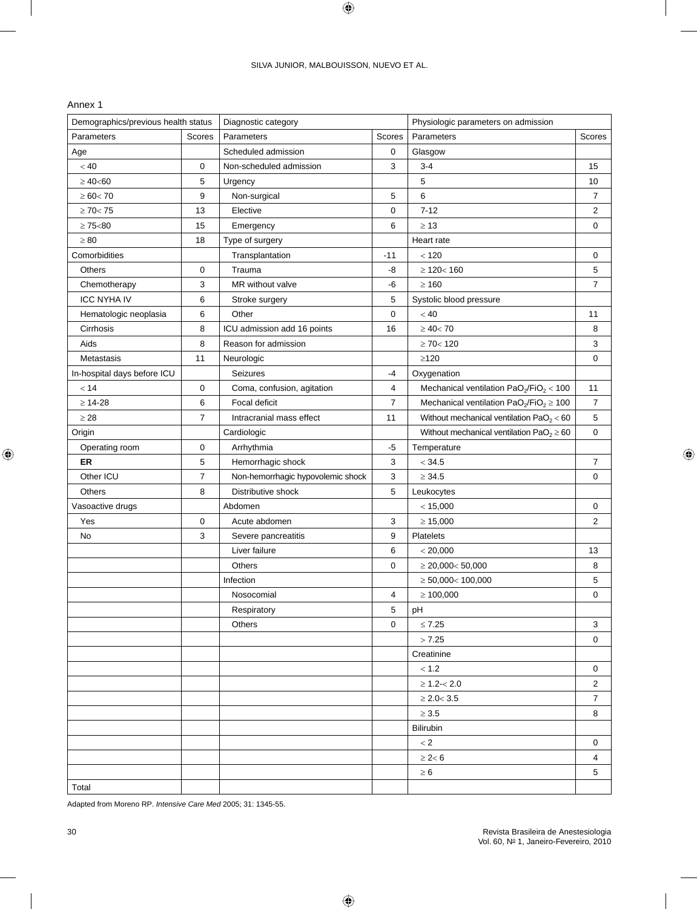# Annex 1

| Demographics/previous health status |                | Diagnostic category               |             | Physiologic parameters on admission          |                 |
|-------------------------------------|----------------|-----------------------------------|-------------|----------------------------------------------|-----------------|
| Parameters                          | Scores         | Parameters                        | Scores      | Parameters                                   | Scores          |
| Age                                 |                | Scheduled admission               | 0           | Glasgow                                      |                 |
| < 40                                | 0              | Non-scheduled admission           | 3           | $3 - 4$                                      | 15              |
| $\geq 40$ <60                       | 5              | Urgency                           |             | 5                                            | 10              |
| $\geq 60 < 70$                      | 9              | Non-surgical                      | 5           | 6                                            | 7               |
| $\geq 70 < 75$                      | 13             | Elective                          | 0           | $7 - 12$                                     | 2               |
| $\geq 75<80$                        | 15             | Emergency                         | 6           | $\geq 13$                                    | $\mathbf 0$     |
| $\geq 80$                           | 18             | Type of surgery                   |             | Heart rate                                   |                 |
| Comorbidities                       |                | Transplantation                   | $-11$       | < 120                                        | 0               |
| Others                              | 0              | Trauma                            | -8          | $\geq 120 < 160$                             | 5               |
| Chemotherapy                        | 3              | MR without valve                  | -6          | $\geq 160$                                   | 7               |
| <b>ICC NYHA IV</b>                  | 6              | Stroke surgery                    | 5           | Systolic blood pressure                      |                 |
| Hematologic neoplasia               | 6              | Other                             | 0           | < 40                                         | 11              |
| Cirrhosis                           | 8              | ICU admission add 16 points       | 16          | $\geq 40 < 70$                               | 8               |
| Aids                                | 8              | Reason for admission              |             | $\geq$ 70< 120                               | 3               |
| Metastasis                          | 11             | Neurologic                        |             | $\geq$ 120                                   | $\mathbf 0$     |
| In-hospital days before ICU         |                | <b>Seizures</b>                   | -4          | Oxygenation                                  |                 |
| < 14                                | 0              | Coma, confusion, agitation        | 4           | Mechanical ventilation $PaO2/FiO2 < 100$     | 11              |
| $\geq 14 - 28$                      | 6              | Focal deficit                     | 7           | Mechanical ventilation $PaO2/FiO2 \ge 100$   | $\overline{7}$  |
| $\geq 28$                           | $\overline{7}$ | Intracranial mass effect          | 11          | Without mechanical ventilation $PaO2 < 60$   | 5               |
| Origin                              |                | Cardiologic                       |             | Without mechanical ventilation $PaO2 \ge 60$ | $\mathbf 0$     |
| Operating room                      | 0              | Arrhythmia                        | $-5$        | Temperature                                  |                 |
| <b>ER</b>                           | 5              | Hemorrhagic shock                 | 3           | < 34.5                                       | 7               |
| Other ICU                           | $\overline{7}$ | Non-hemorrhagic hypovolemic shock | 3           | $\geq 34.5$                                  | $\mathbf 0$     |
| Others                              | 8              | Distributive shock                | 5           | Leukocytes                                   |                 |
| Vasoactive drugs                    |                | Abdomen                           |             | < 15,000                                     | $\mathbf 0$     |
| Yes                                 | 0              | Acute abdomen                     | 3           | $\geq 15,000$                                | $\overline{2}$  |
| No                                  | 3              | Severe pancreatitis               | 9           | <b>Platelets</b>                             |                 |
|                                     |                | Liver failure                     | 6           | < 20,000                                     | 13              |
|                                     |                | Others                            | 0           | $\geq 20,000< 50,000$                        | 8               |
|                                     |                | Infection                         |             | $\geq 50,000< 100,000$                       | 5               |
|                                     |                | Nosocomial                        | 4           | $\geq 100,000$                               | 0               |
|                                     |                | Respiratory                       | 5           | pH                                           |                 |
|                                     |                | Others                            | $\mathbf 0$ | $\leq 7.25$                                  | 3               |
|                                     |                |                                   |             | > 7.25                                       | $\mathbf 0$     |
|                                     |                |                                   |             | Creatinine                                   |                 |
|                                     |                |                                   |             | $< 1.2$                                      | $\mathbf 0$     |
|                                     |                |                                   |             | $\geq 1.2 - 2.0$                             | $\overline{c}$  |
|                                     |                |                                   |             | $\geq 2.0 < 3.5$                             | $\overline{7}$  |
|                                     |                |                                   |             | $\geq 3.5$                                   | 8               |
|                                     |                |                                   |             | Bilirubin                                    |                 |
|                                     |                |                                   |             | $< 2$                                        | $\mathbf 0$     |
|                                     |                |                                   |             | $\geq 2<6$                                   | 4               |
|                                     |                |                                   |             | $\geq 6$                                     | $5\phantom{.0}$ |
| Total                               |                |                                   |             |                                              |                 |

Adapted from Moreno RP. *Intensive Care Med* 2005; 31: 1345-55.